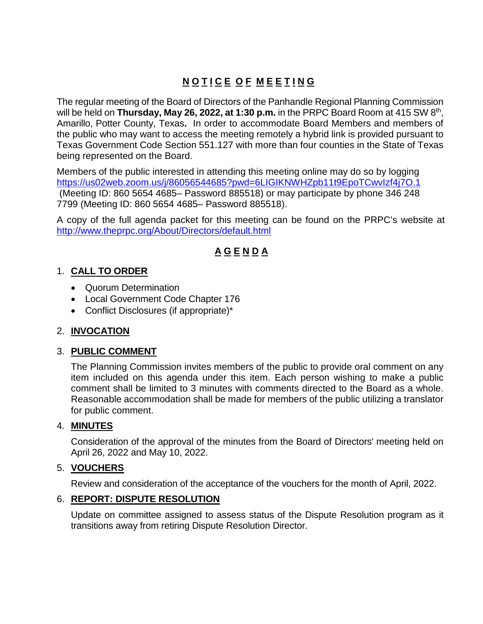# **N O T I C E O F M E E T I N G**

The regular meeting of the Board of Directors of the Panhandle Regional Planning Commission will be held on **Thursday, May 26, 2022, at 1:30 p.m.** in the PRPC Board Room at 415 SW 8th, Amarillo, Potter County, Texas**.** In order to accommodate Board Members and members of the public who may want to access the meeting remotely a hybrid link is provided pursuant to Texas Government Code Section 551.127 with more than four counties in the State of Texas being represented on the Board.

Members of the public interested in attending this meeting online may do so by logging <https://us02web.zoom.us/j/86056544685?pwd=6LIGIKNWHZpb11t9EpoTCwvIzf4j7O.1> (Meeting ID: 860 5654 4685– Password 885518) or may participate by phone 346 248 7799 (Meeting ID: 860 5654 4685– Password 885518).

A copy of the full agenda packet for this meeting can be found on the PRPC's website at <http://www.theprpc.org/About/Directors/default.html>

## **A G E N D A**

#### 1. **CALL TO ORDER**

- Quorum Determination
- Local Government Code Chapter 176
- Conflict Disclosures (if appropriate)\*

### 2. **INVOCATION**

#### 3. **PUBLIC COMMENT**

The Planning Commission invites members of the public to provide oral comment on any item included on this agenda under this item. Each person wishing to make a public comment shall be limited to 3 minutes with comments directed to the Board as a whole. Reasonable accommodation shall be made for members of the public utilizing a translator for public comment.

#### 4. **MINUTES**

Consideration of the approval of the minutes from the Board of Directors' meeting held on April 26, 2022 and May 10, 2022.

### 5. **VOUCHERS**

Review and consideration of the acceptance of the vouchers for the month of April, 2022.

#### 6. **REPORT: DISPUTE RESOLUTION**

Update on committee assigned to assess status of the Dispute Resolution program as it transitions away from retiring Dispute Resolution Director.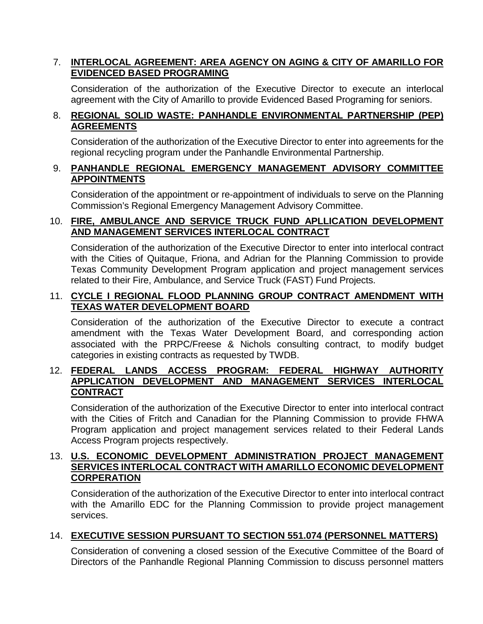#### 7. **INTERLOCAL AGREEMENT: AREA AGENCY ON AGING & CITY OF AMARILLO FOR EVIDENCED BASED PROGRAMING**

Consideration of the authorization of the Executive Director to execute an interlocal agreement with the City of Amarillo to provide Evidenced Based Programing for seniors.

#### 8. **REGIONAL SOLID WASTE: PANHANDLE ENVIRONMENTAL PARTNERSHIP (PEP) AGREEMENTS**

Consideration of the authorization of the Executive Director to enter into agreements for the regional recycling program under the Panhandle Environmental Partnership.

#### 9. **PANHANDLE REGIONAL EMERGENCY MANAGEMENT ADVISORY COMMITTEE APPOINTMENTS**

Consideration of the appointment or re-appointment of individuals to serve on the Planning Commission's Regional Emergency Management Advisory Committee.

#### 10. **FIRE, AMBULANCE AND SERVICE TRUCK FUND APLLICATION DEVELOPMENT AND MANAGEMENT SERVICES INTERLOCAL CONTRACT**

Consideration of the authorization of the Executive Director to enter into interlocal contract with the Cities of Quitaque, Friona, and Adrian for the Planning Commission to provide Texas Community Development Program application and project management services related to their Fire, Ambulance, and Service Truck (FAST) Fund Projects.

#### 11. **CYCLE I REGIONAL FLOOD PLANNING GROUP CONTRACT AMENDMENT WITH TEXAS WATER DEVELOPMENT BOARD**

Consideration of the authorization of the Executive Director to execute a contract amendment with the Texas Water Development Board, and corresponding action associated with the PRPC/Freese & Nichols consulting contract, to modify budget categories in existing contracts as requested by TWDB.

#### 12. **FEDERAL LANDS ACCESS PROGRAM: FEDERAL HIGHWAY AUTHORITY APPLICATION DEVELOPMENT AND MANAGEMENT SERVICES INTERLOCAL CONTRACT**

Consideration of the authorization of the Executive Director to enter into interlocal contract with the Cities of Fritch and Canadian for the Planning Commission to provide FHWA Program application and project management services related to their Federal Lands Access Program projects respectively.

#### 13. **U.S. ECONOMIC DEVELOPMENT ADMINISTRATION PROJECT MANAGEMENT SERVICES INTERLOCAL CONTRACT WITH AMARILLO ECONOMIC DEVELOPMENT CORPERATION**

Consideration of the authorization of the Executive Director to enter into interlocal contract with the Amarillo EDC for the Planning Commission to provide project management services.

### 14. **EXECUTIVE SESSION PURSUANT TO SECTION 551.074 (PERSONNEL MATTERS)**

Consideration of convening a closed session of the Executive Committee of the Board of Directors of the Panhandle Regional Planning Commission to discuss personnel matters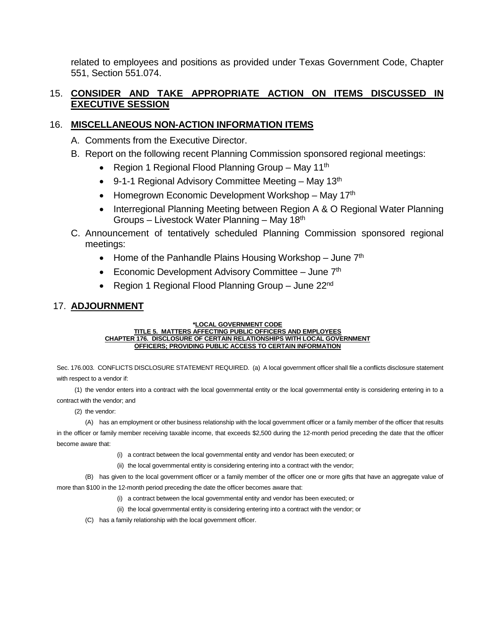related to employees and positions as provided under Texas Government Code, Chapter 551, Section 551.074.

#### 15. **CONSIDER AND TAKE APPROPRIATE ACTION ON ITEMS DISCUSSED IN EXECUTIVE SESSION**

#### 16. **MISCELLANEOUS NON-ACTION INFORMATION ITEMS**

- A. Comments from the Executive Director.
- B. Report on the following recent Planning Commission sponsored regional meetings:
	- Region 1 Regional Flood Planning Group May 11<sup>th</sup>
	- 9-1-1 Regional Advisory Committee Meeting May 13<sup>th</sup>
	- Homegrown Economic Development Workshop May  $17<sup>th</sup>$
	- Interregional Planning Meeting between Region A & O Regional Water Planning Groups – Livestock Water Planning – May 18th
- C. Announcement of tentatively scheduled Planning Commission sponsored regional meetings:
	- Home of the Panhandle Plains Housing Workshop June  $7<sup>th</sup>$
	- Economic Development Advisory Committee June  $7<sup>th</sup>$
	- Region 1 Regional Flood Planning Group June 22<sup>nd</sup>

### 17. **ADJOURNMENT**

#### **\*LOCAL GOVERNMENT CODE TITLE 5. MATTERS AFFECTING PUBLIC OFFICERS AND EMPLOYEES CHAPTER 176. DISCLOSURE OF CERTAIN RELATIONSHIPS WITH LOCAL GOVERNMENT OFFICERS; PROVIDING PUBLIC ACCESS TO CERTAIN INFORMATION**

Sec. 176.003. CONFLICTS DISCLOSURE STATEMENT REQUIRED. (a) A local government officer shall file a conflicts disclosure statement with respect to a vendor if:

(1) the vendor enters into a contract with the local governmental entity or the local governmental entity is considering entering in to a contract with the vendor; and

(2) the vendor:

(A) has an employment or other business relationship with the local government officer or a family member of the officer that results in the officer or family member receiving taxable income, that exceeds \$2,500 during the 12-month period preceding the date that the officer become aware that:

- (i) a contract between the local governmental entity and vendor has been executed; or
- (ii) the local governmental entity is considering entering into a contract with the vendor;

(B) has given to the local government officer or a family member of the officer one or more gifts that have an aggregate value of more than \$100 in the 12-month period preceding the date the officer becomes aware that:

- (i) a contract between the local governmental entity and vendor has been executed; or
- (ii) the local governmental entity is considering entering into a contract with the vendor; or
- (C) has a family relationship with the local government officer.